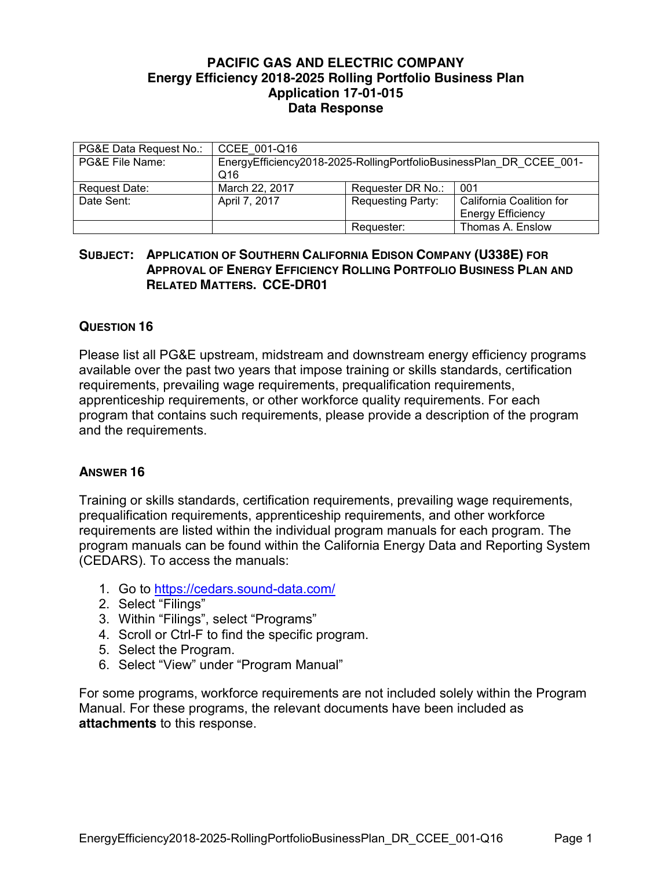## **PACIFIC GAS AND ELECTRIC COMPANY Energy Efficiency 2018-2025 Rolling Portfolio Business Plan Application 17-01-015 Data Response**

| PG&E Data Request No.: | CCEE 001-Q16                                                               |                          |                                                      |
|------------------------|----------------------------------------------------------------------------|--------------------------|------------------------------------------------------|
| PG&E File Name:        | EnergyEfficiency2018-2025-RollingPortfolioBusinessPlan DR CCEE 001-<br>Q16 |                          |                                                      |
| Request Date:          | March 22, 2017                                                             | Requester DR No.:        | 001                                                  |
| Date Sent:             | April 7, 2017                                                              | <b>Requesting Party:</b> | California Coalition for<br><b>Energy Efficiency</b> |
|                        |                                                                            | Requester:               | Thomas A. Enslow                                     |

## **SUBJECT: APPLICATION OF SOUTHERN CALIFORNIA EDISON COMPANY (U338E) FOR APPROVAL OF ENERGY EFFICIENCY ROLLING PORTFOLIO BUSINESS PLAN AND RELATED MATTERS. CCE-DR01**

## **QUESTION 16**

Please list all PG&E upstream, midstream and downstream energy efficiency programs available over the past two years that impose training or skills standards, certification requirements, prevailing wage requirements, prequalification requirements, apprenticeship requirements, or other workforce quality requirements. For each program that contains such requirements, please provide a description of the program and the requirements.

## **ANSWER 16**

Training or skills standards, certification requirements, prevailing wage requirements, prequalification requirements, apprenticeship requirements, and other workforce requirements are listed within the individual program manuals for each program. The program manuals can be found within the California Energy Data and Reporting System (CEDARS). To access the manuals:

- 1. Go to https://cedars.sound-data.com/
- 2. Select "Filings"
- 3. Within "Filings", select "Programs"
- 4. Scroll or Ctrl-F to find the specific program.
- 5. Select the Program.
- 6. Select "View" under "Program Manual"

For some programs, workforce requirements are not included solely within the Program Manual. For these programs, the relevant documents have been included as **attachments** to this response.